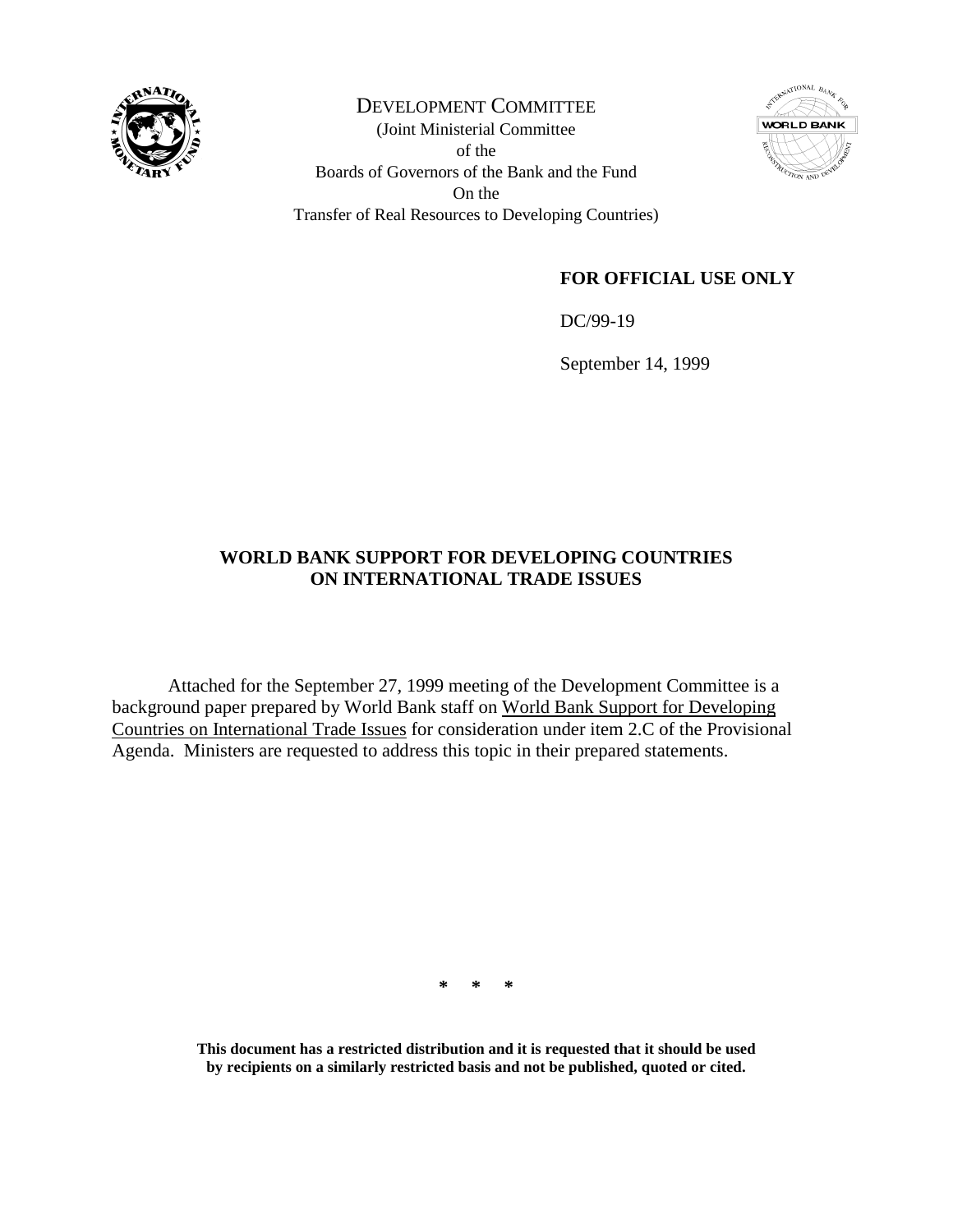

DEVELOPMENT COMMITTEE (Joint Ministerial Committee of the Boards of Governors of the Bank and the Fund On the Transfer of Real Resources to Developing Countries)



## **FOR OFFICIAL USE ONLY**

DC/99-19

September 14, 1999

### **WORLD BANK SUPPORT FOR DEVELOPING COUNTRIES ON INTERNATIONAL TRADE ISSUES**

Attached for the September 27, 1999 meeting of the Development Committee is a background paper prepared by World Bank staff on World Bank Support for Developing Countries on International Trade Issues for consideration under item 2.C of the Provisional Agenda. Ministers are requested to address this topic in their prepared statements.

**\* \* \***

**This document has a restricted distribution and it is requested that it should be used by recipients on a similarly restricted basis and not be published, quoted or cited.**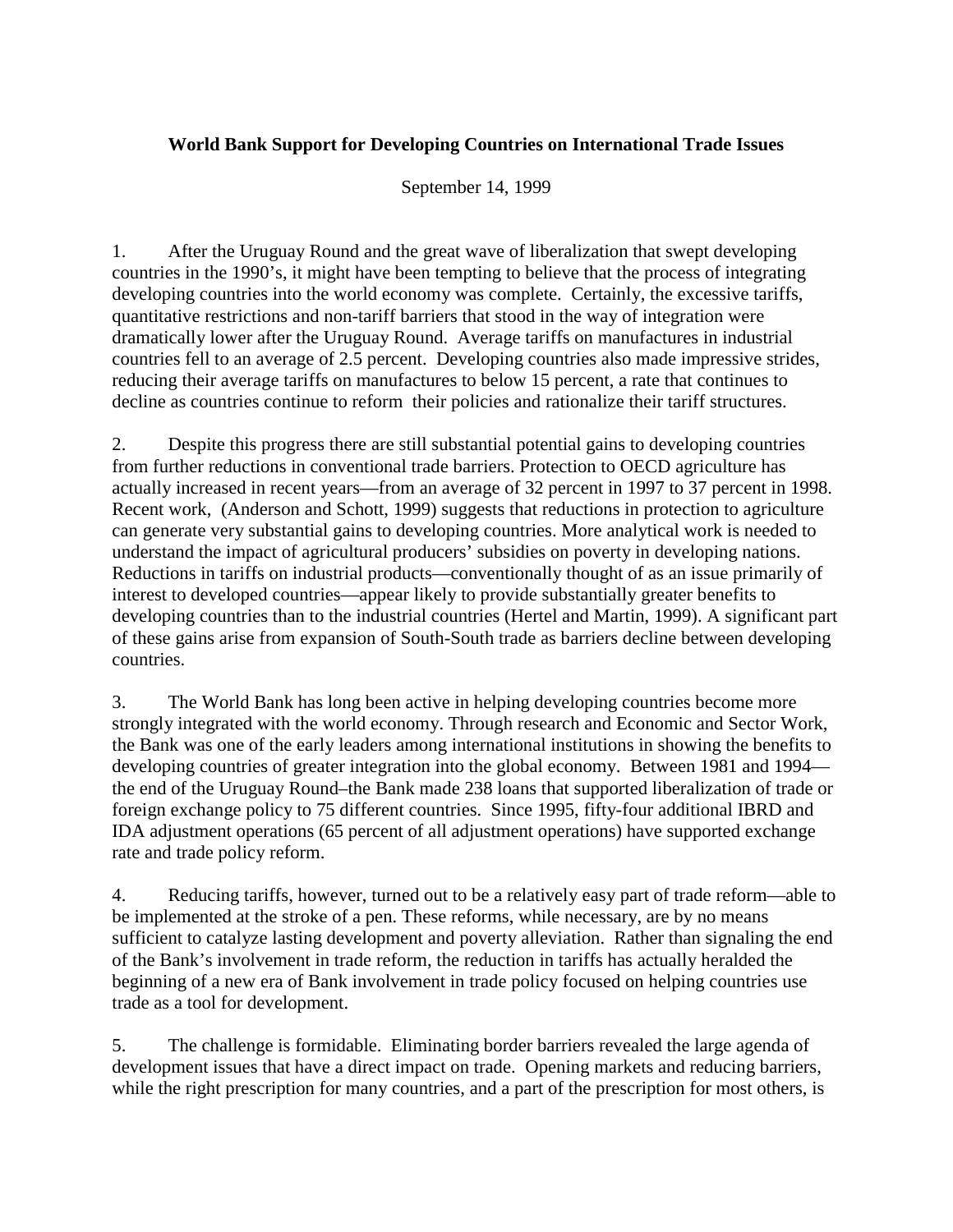### **World Bank Support for Developing Countries on International Trade Issues**

September 14, 1999

1. After the Uruguay Round and the great wave of liberalization that swept developing countries in the 1990's, it might have been tempting to believe that the process of integrating developing countries into the world economy was complete. Certainly, the excessive tariffs, quantitative restrictions and non-tariff barriers that stood in the way of integration were dramatically lower after the Uruguay Round. Average tariffs on manufactures in industrial countries fell to an average of 2.5 percent. Developing countries also made impressive strides, reducing their average tariffs on manufactures to below 15 percent, a rate that continues to decline as countries continue to reform their policies and rationalize their tariff structures.

2. Despite this progress there are still substantial potential gains to developing countries from further reductions in conventional trade barriers. Protection to OECD agriculture has actually increased in recent years—from an average of 32 percent in 1997 to 37 percent in 1998. Recent work, (Anderson and Schott, 1999) suggests that reductions in protection to agriculture can generate very substantial gains to developing countries. More analytical work is needed to understand the impact of agricultural producers' subsidies on poverty in developing nations. Reductions in tariffs on industrial products—conventionally thought of as an issue primarily of interest to developed countries—appear likely to provide substantially greater benefits to developing countries than to the industrial countries (Hertel and Martin, 1999). A significant part of these gains arise from expansion of South-South trade as barriers decline between developing countries.

3. The World Bank has long been active in helping developing countries become more strongly integrated with the world economy. Through research and Economic and Sector Work, the Bank was one of the early leaders among international institutions in showing the benefits to developing countries of greater integration into the global economy. Between 1981 and 1994 the end of the Uruguay Round–the Bank made 238 loans that supported liberalization of trade or foreign exchange policy to 75 different countries. Since 1995, fifty-four additional IBRD and IDA adjustment operations (65 percent of all adjustment operations) have supported exchange rate and trade policy reform.

4. Reducing tariffs, however, turned out to be a relatively easy part of trade reform—able to be implemented at the stroke of a pen. These reforms, while necessary, are by no means sufficient to catalyze lasting development and poverty alleviation. Rather than signaling the end of the Bank's involvement in trade reform, the reduction in tariffs has actually heralded the beginning of a new era of Bank involvement in trade policy focused on helping countries use trade as a tool for development.

5. The challenge is formidable. Eliminating border barriers revealed the large agenda of development issues that have a direct impact on trade. Opening markets and reducing barriers, while the right prescription for many countries, and a part of the prescription for most others, is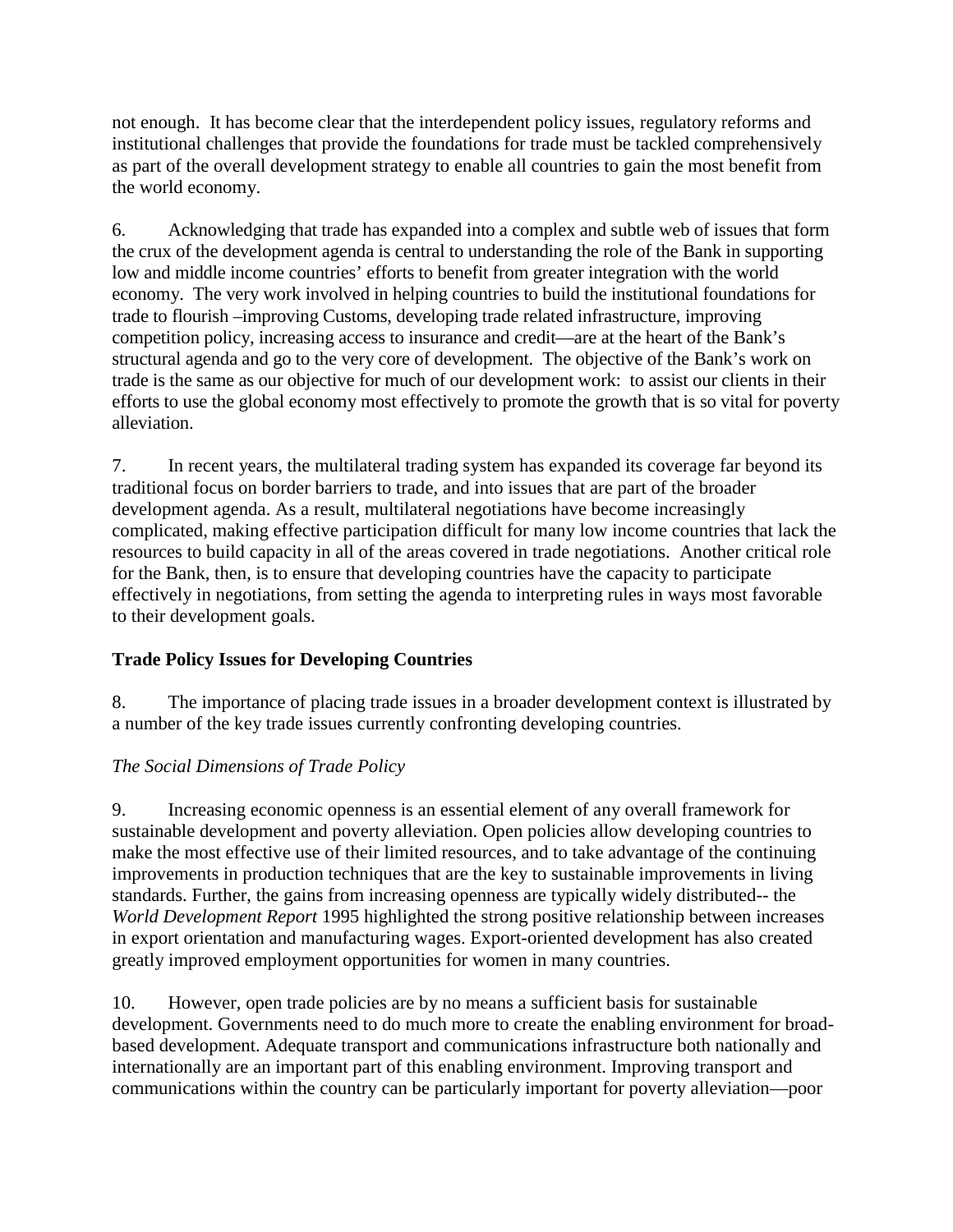not enough. It has become clear that the interdependent policy issues, regulatory reforms and institutional challenges that provide the foundations for trade must be tackled comprehensively as part of the overall development strategy to enable all countries to gain the most benefit from the world economy.

6. Acknowledging that trade has expanded into a complex and subtle web of issues that form the crux of the development agenda is central to understanding the role of the Bank in supporting low and middle income countries' efforts to benefit from greater integration with the world economy. The very work involved in helping countries to build the institutional foundations for trade to flourish –improving Customs, developing trade related infrastructure, improving competition policy, increasing access to insurance and credit—are at the heart of the Bank's structural agenda and go to the very core of development. The objective of the Bank's work on trade is the same as our objective for much of our development work: to assist our clients in their efforts to use the global economy most effectively to promote the growth that is so vital for poverty alleviation.

7. In recent years, the multilateral trading system has expanded its coverage far beyond its traditional focus on border barriers to trade, and into issues that are part of the broader development agenda. As a result, multilateral negotiations have become increasingly complicated, making effective participation difficult for many low income countries that lack the resources to build capacity in all of the areas covered in trade negotiations. Another critical role for the Bank, then, is to ensure that developing countries have the capacity to participate effectively in negotiations, from setting the agenda to interpreting rules in ways most favorable to their development goals.

## **Trade Policy Issues for Developing Countries**

8. The importance of placing trade issues in a broader development context is illustrated by a number of the key trade issues currently confronting developing countries.

## *The Social Dimensions of Trade Policy*

9. Increasing economic openness is an essential element of any overall framework for sustainable development and poverty alleviation. Open policies allow developing countries to make the most effective use of their limited resources, and to take advantage of the continuing improvements in production techniques that are the key to sustainable improvements in living standards. Further, the gains from increasing openness are typically widely distributed-- the *World Development Report* 1995 highlighted the strong positive relationship between increases in export orientation and manufacturing wages. Export-oriented development has also created greatly improved employment opportunities for women in many countries.

10. However, open trade policies are by no means a sufficient basis for sustainable development. Governments need to do much more to create the enabling environment for broadbased development. Adequate transport and communications infrastructure both nationally and internationally are an important part of this enabling environment. Improving transport and communications within the country can be particularly important for poverty alleviation—poor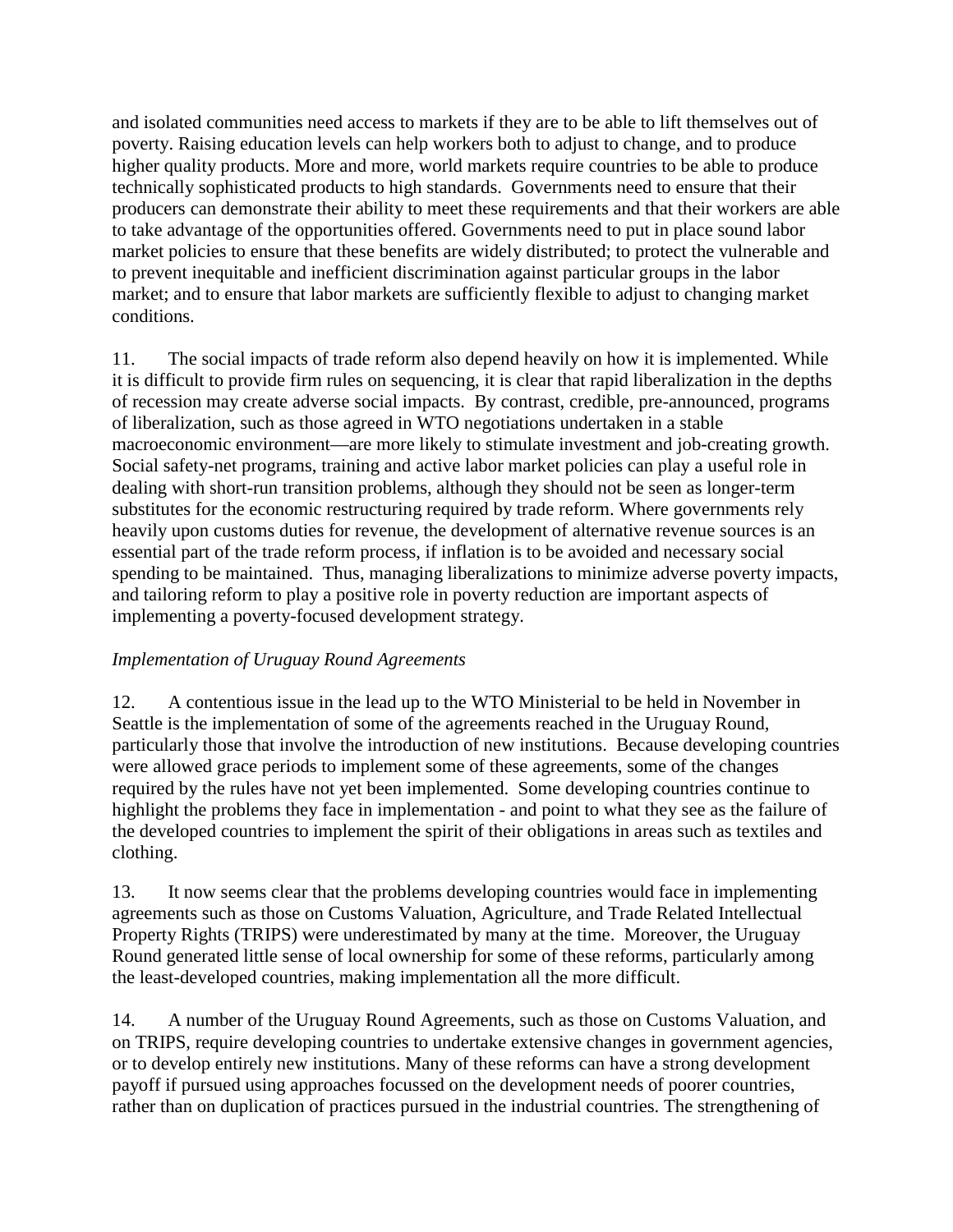and isolated communities need access to markets if they are to be able to lift themselves out of poverty. Raising education levels can help workers both to adjust to change, and to produce higher quality products. More and more, world markets require countries to be able to produce technically sophisticated products to high standards. Governments need to ensure that their producers can demonstrate their ability to meet these requirements and that their workers are able to take advantage of the opportunities offered. Governments need to put in place sound labor market policies to ensure that these benefits are widely distributed; to protect the vulnerable and to prevent inequitable and inefficient discrimination against particular groups in the labor market; and to ensure that labor markets are sufficiently flexible to adjust to changing market conditions.

11. The social impacts of trade reform also depend heavily on how it is implemented. While it is difficult to provide firm rules on sequencing, it is clear that rapid liberalization in the depths of recession may create adverse social impacts. By contrast, credible, pre-announced, programs of liberalization, such as those agreed in WTO negotiations undertaken in a stable macroeconomic environment—are more likely to stimulate investment and job-creating growth. Social safety-net programs, training and active labor market policies can play a useful role in dealing with short-run transition problems, although they should not be seen as longer-term substitutes for the economic restructuring required by trade reform. Where governments rely heavily upon customs duties for revenue, the development of alternative revenue sources is an essential part of the trade reform process, if inflation is to be avoided and necessary social spending to be maintained. Thus, managing liberalizations to minimize adverse poverty impacts, and tailoring reform to play a positive role in poverty reduction are important aspects of implementing a poverty-focused development strategy.

### *Implementation of Uruguay Round Agreements*

12. A contentious issue in the lead up to the WTO Ministerial to be held in November in Seattle is the implementation of some of the agreements reached in the Uruguay Round, particularly those that involve the introduction of new institutions. Because developing countries were allowed grace periods to implement some of these agreements, some of the changes required by the rules have not yet been implemented. Some developing countries continue to highlight the problems they face in implementation - and point to what they see as the failure of the developed countries to implement the spirit of their obligations in areas such as textiles and clothing.

13. It now seems clear that the problems developing countries would face in implementing agreements such as those on Customs Valuation, Agriculture, and Trade Related Intellectual Property Rights (TRIPS) were underestimated by many at the time. Moreover, the Uruguay Round generated little sense of local ownership for some of these reforms, particularly among the least-developed countries, making implementation all the more difficult.

14. A number of the Uruguay Round Agreements, such as those on Customs Valuation, and on TRIPS, require developing countries to undertake extensive changes in government agencies, or to develop entirely new institutions. Many of these reforms can have a strong development payoff if pursued using approaches focussed on the development needs of poorer countries, rather than on duplication of practices pursued in the industrial countries. The strengthening of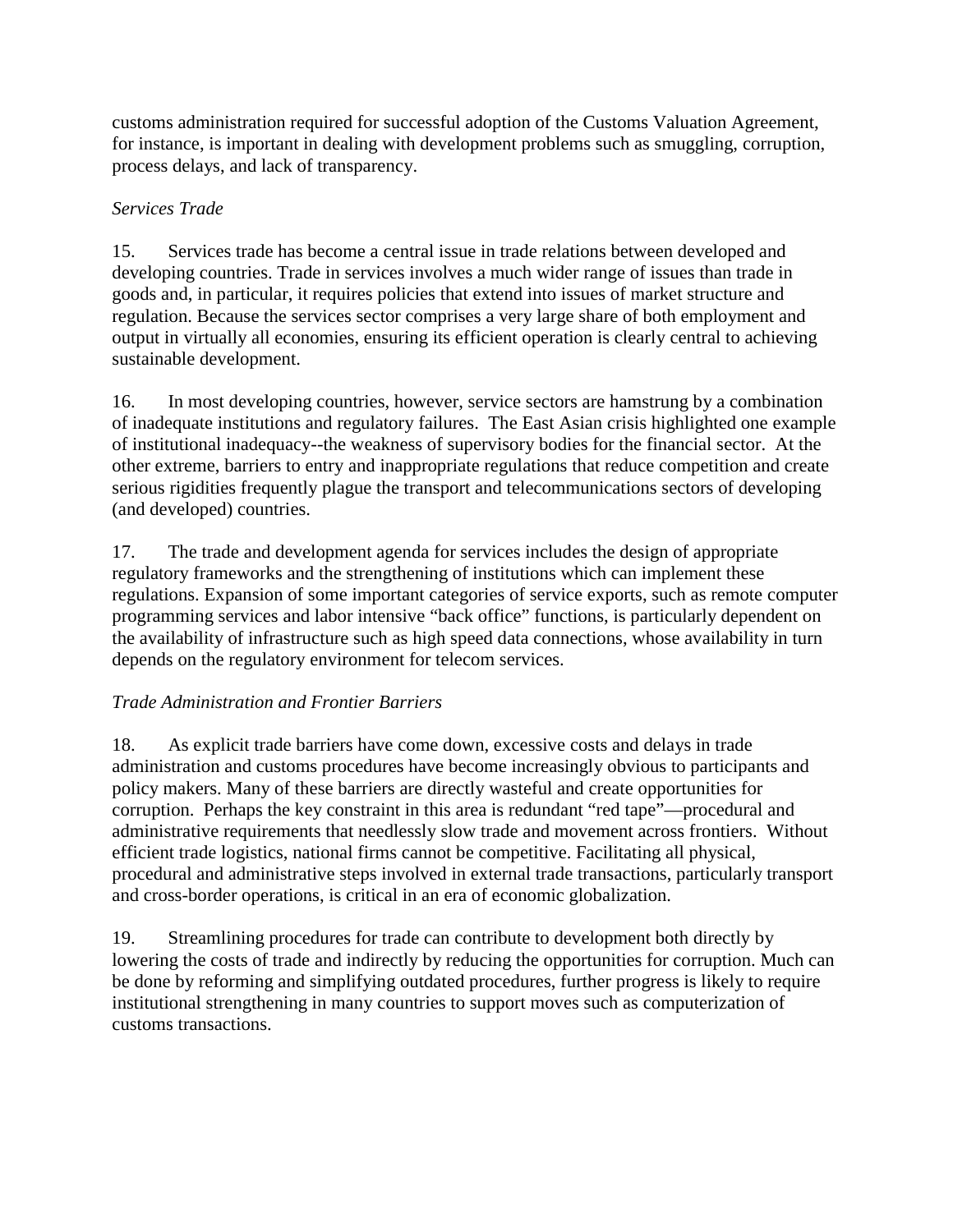customs administration required for successful adoption of the Customs Valuation Agreement, for instance, is important in dealing with development problems such as smuggling, corruption, process delays, and lack of transparency.

# *Services Trade*

15. Services trade has become a central issue in trade relations between developed and developing countries. Trade in services involves a much wider range of issues than trade in goods and, in particular, it requires policies that extend into issues of market structure and regulation. Because the services sector comprises a very large share of both employment and output in virtually all economies, ensuring its efficient operation is clearly central to achieving sustainable development.

16. In most developing countries, however, service sectors are hamstrung by a combination of inadequate institutions and regulatory failures. The East Asian crisis highlighted one example of institutional inadequacy--the weakness of supervisory bodies for the financial sector. At the other extreme, barriers to entry and inappropriate regulations that reduce competition and create serious rigidities frequently plague the transport and telecommunications sectors of developing (and developed) countries.

17. The trade and development agenda for services includes the design of appropriate regulatory frameworks and the strengthening of institutions which can implement these regulations. Expansion of some important categories of service exports, such as remote computer programming services and labor intensive "back office" functions, is particularly dependent on the availability of infrastructure such as high speed data connections, whose availability in turn depends on the regulatory environment for telecom services.

## *Trade Administration and Frontier Barriers*

18. As explicit trade barriers have come down, excessive costs and delays in trade administration and customs procedures have become increasingly obvious to participants and policy makers. Many of these barriers are directly wasteful and create opportunities for corruption. Perhaps the key constraint in this area is redundant "red tape"—procedural and administrative requirements that needlessly slow trade and movement across frontiers. Without efficient trade logistics, national firms cannot be competitive. Facilitating all physical, procedural and administrative steps involved in external trade transactions, particularly transport and cross-border operations, is critical in an era of economic globalization.

19. Streamlining procedures for trade can contribute to development both directly by lowering the costs of trade and indirectly by reducing the opportunities for corruption. Much can be done by reforming and simplifying outdated procedures, further progress is likely to require institutional strengthening in many countries to support moves such as computerization of customs transactions.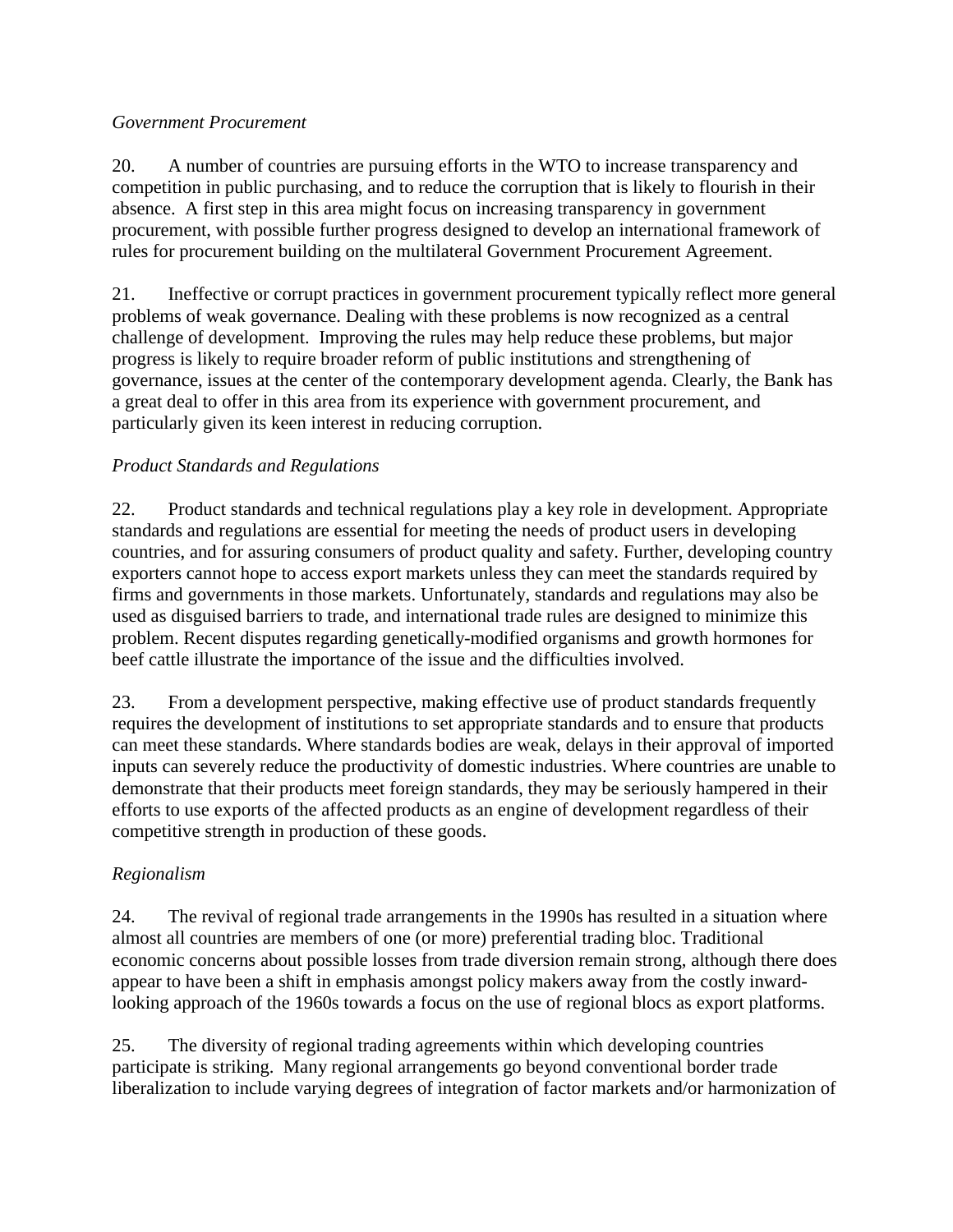#### *Government Procurement*

20. A number of countries are pursuing efforts in the WTO to increase transparency and competition in public purchasing, and to reduce the corruption that is likely to flourish in their absence. A first step in this area might focus on increasing transparency in government procurement, with possible further progress designed to develop an international framework of rules for procurement building on the multilateral Government Procurement Agreement.

21. Ineffective or corrupt practices in government procurement typically reflect more general problems of weak governance. Dealing with these problems is now recognized as a central challenge of development. Improving the rules may help reduce these problems, but major progress is likely to require broader reform of public institutions and strengthening of governance, issues at the center of the contemporary development agenda. Clearly, the Bank has a great deal to offer in this area from its experience with government procurement, and particularly given its keen interest in reducing corruption.

## *Product Standards and Regulations*

22. Product standards and technical regulations play a key role in development. Appropriate standards and regulations are essential for meeting the needs of product users in developing countries, and for assuring consumers of product quality and safety. Further, developing country exporters cannot hope to access export markets unless they can meet the standards required by firms and governments in those markets. Unfortunately, standards and regulations may also be used as disguised barriers to trade, and international trade rules are designed to minimize this problem. Recent disputes regarding genetically-modified organisms and growth hormones for beef cattle illustrate the importance of the issue and the difficulties involved.

23. From a development perspective, making effective use of product standards frequently requires the development of institutions to set appropriate standards and to ensure that products can meet these standards. Where standards bodies are weak, delays in their approval of imported inputs can severely reduce the productivity of domestic industries. Where countries are unable to demonstrate that their products meet foreign standards, they may be seriously hampered in their efforts to use exports of the affected products as an engine of development regardless of their competitive strength in production of these goods.

## *Regionalism*

24. The revival of regional trade arrangements in the 1990s has resulted in a situation where almost all countries are members of one (or more) preferential trading bloc. Traditional economic concerns about possible losses from trade diversion remain strong, although there does appear to have been a shift in emphasis amongst policy makers away from the costly inwardlooking approach of the 1960s towards a focus on the use of regional blocs as export platforms.

25. The diversity of regional trading agreements within which developing countries participate is striking. Many regional arrangements go beyond conventional border trade liberalization to include varying degrees of integration of factor markets and/or harmonization of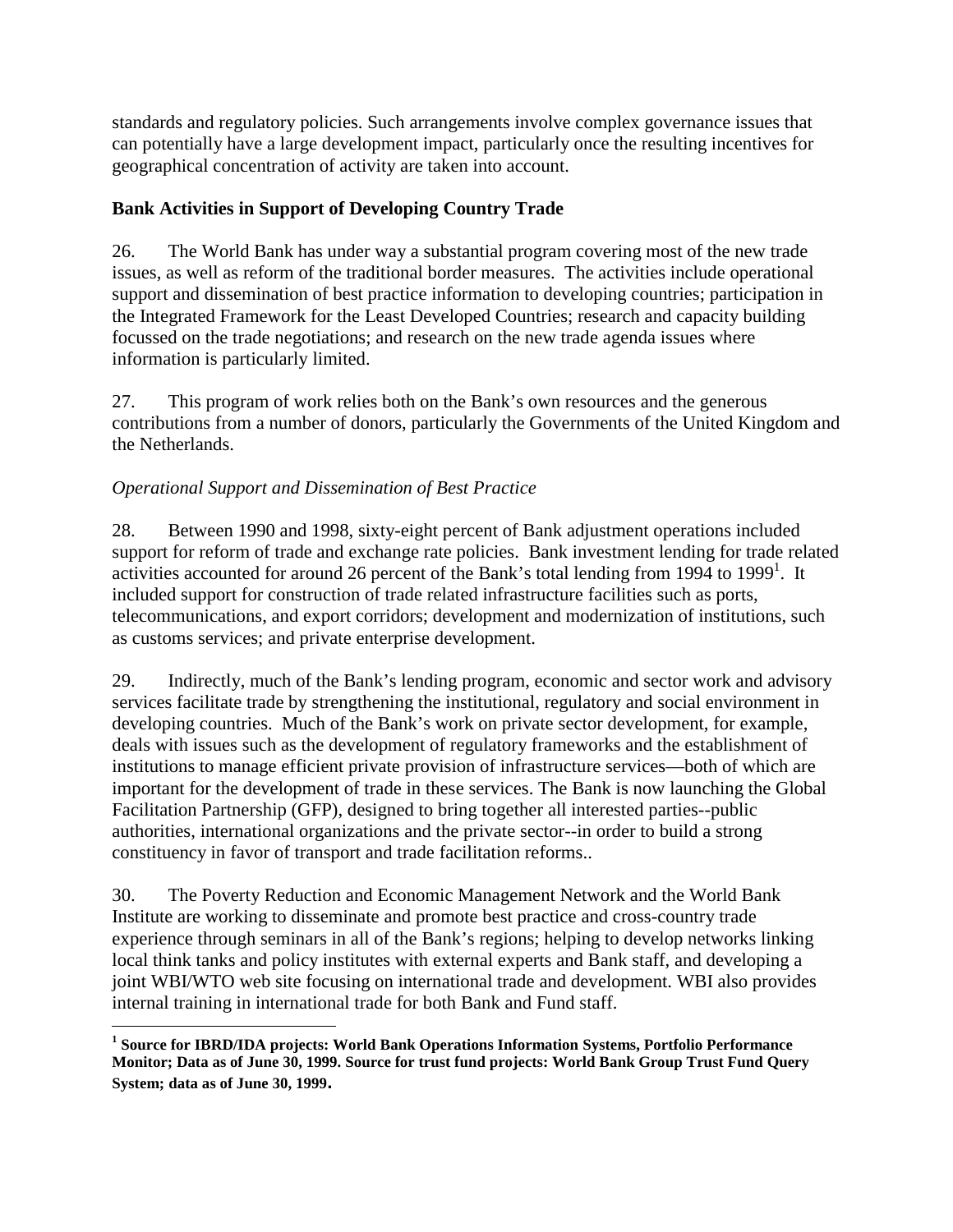standards and regulatory policies. Such arrangements involve complex governance issues that can potentially have a large development impact, particularly once the resulting incentives for geographical concentration of activity are taken into account.

## **Bank Activities in Support of Developing Country Trade**

26. The World Bank has under way a substantial program covering most of the new trade issues, as well as reform of the traditional border measures. The activities include operational support and dissemination of best practice information to developing countries; participation in the Integrated Framework for the Least Developed Countries; research and capacity building focussed on the trade negotiations; and research on the new trade agenda issues where information is particularly limited.

27. This program of work relies both on the Bank's own resources and the generous contributions from a number of donors, particularly the Governments of the United Kingdom and the Netherlands.

### *Operational Support and Dissemination of Best Practice*

28. Between 1990 and 1998, sixty-eight percent of Bank adjustment operations included support for reform of trade and exchange rate policies. Bank investment lending for trade related activities accounted for around 26 percent of the Bank's total lending from 1994 to 1999<sup>1</sup>. It included support for construction of trade related infrastructure facilities such as ports, telecommunications, and export corridors; development and modernization of institutions, such as customs services; and private enterprise development.

29. Indirectly, much of the Bank's lending program, economic and sector work and advisory services facilitate trade by strengthening the institutional, regulatory and social environment in developing countries. Much of the Bank's work on private sector development, for example, deals with issues such as the development of regulatory frameworks and the establishment of institutions to manage efficient private provision of infrastructure services—both of which are important for the development of trade in these services. The Bank is now launching the Global Facilitation Partnership (GFP), designed to bring together all interested parties--public authorities, international organizations and the private sector--in order to build a strong constituency in favor of transport and trade facilitation reforms..

30. The Poverty Reduction and Economic Management Network and the World Bank Institute are working to disseminate and promote best practice and cross-country trade experience through seminars in all of the Bank's regions; helping to develop networks linking local think tanks and policy institutes with external experts and Bank staff, and developing a joint WBI/WTO web site focusing on international trade and development. WBI also provides internal training in international trade for both Bank and Fund staff.

 $\overline{a}$ **1 Source for IBRD/IDA projects: World Bank Operations Information Systems, Portfolio Performance Monitor; Data as of June 30, 1999. Source for trust fund projects: World Bank Group Trust Fund Query System; data as of June 30, 1999.**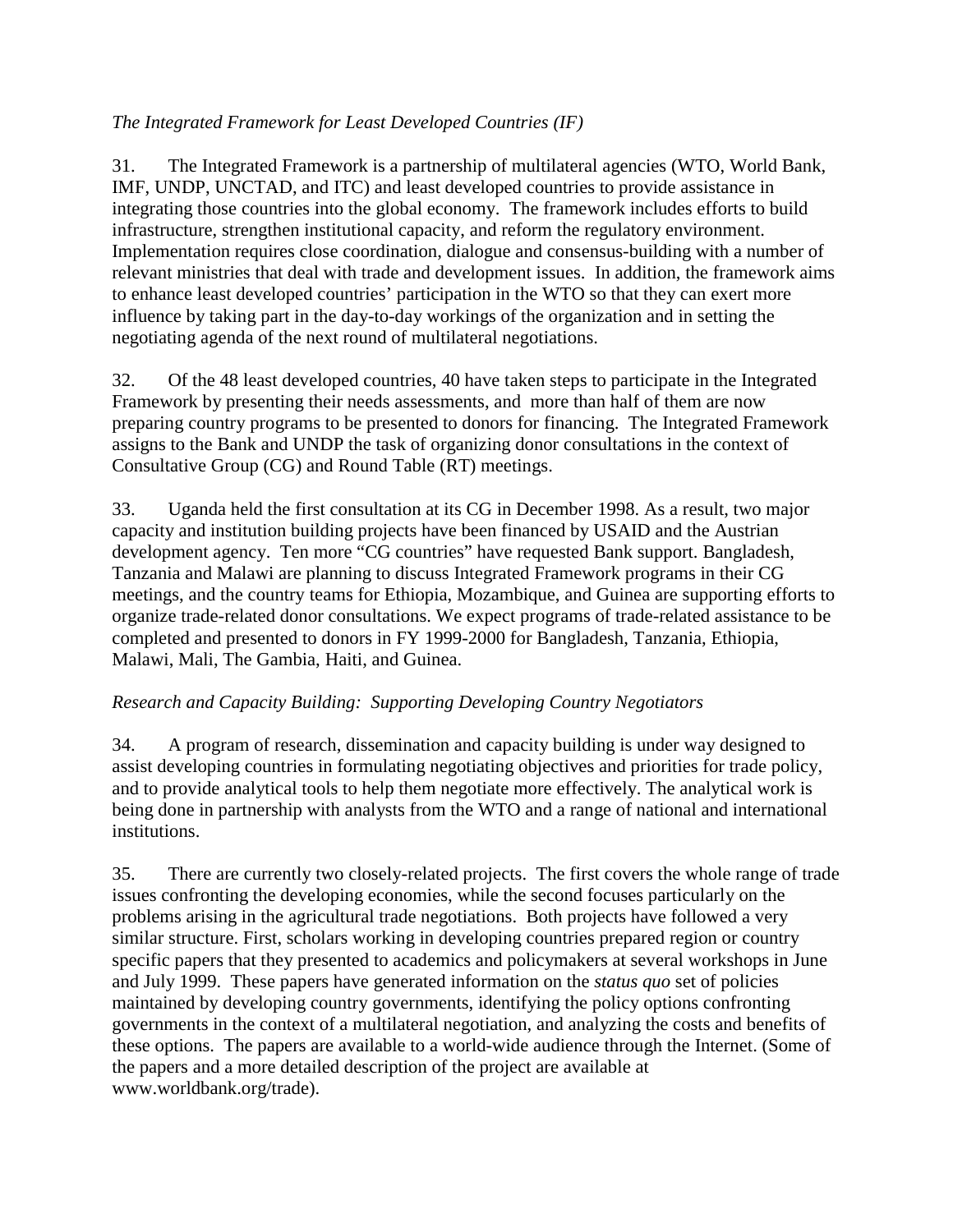## *The Integrated Framework for Least Developed Countries (IF)*

31. The Integrated Framework is a partnership of multilateral agencies (WTO, World Bank, IMF, UNDP, UNCTAD, and ITC) and least developed countries to provide assistance in integrating those countries into the global economy. The framework includes efforts to build infrastructure, strengthen institutional capacity, and reform the regulatory environment. Implementation requires close coordination, dialogue and consensus-building with a number of relevant ministries that deal with trade and development issues. In addition, the framework aims to enhance least developed countries' participation in the WTO so that they can exert more influence by taking part in the day-to-day workings of the organization and in setting the negotiating agenda of the next round of multilateral negotiations.

32. Of the 48 least developed countries, 40 have taken steps to participate in the Integrated Framework by presenting their needs assessments, and more than half of them are now preparing country programs to be presented to donors for financing. The Integrated Framework assigns to the Bank and UNDP the task of organizing donor consultations in the context of Consultative Group (CG) and Round Table (RT) meetings.

33. Uganda held the first consultation at its CG in December 1998. As a result, two major capacity and institution building projects have been financed by USAID and the Austrian development agency. Ten more "CG countries" have requested Bank support. Bangladesh, Tanzania and Malawi are planning to discuss Integrated Framework programs in their CG meetings, and the country teams for Ethiopia, Mozambique, and Guinea are supporting efforts to organize trade-related donor consultations. We expect programs of trade-related assistance to be completed and presented to donors in FY 1999-2000 for Bangladesh, Tanzania, Ethiopia, Malawi, Mali, The Gambia, Haiti, and Guinea.

### *Research and Capacity Building: Supporting Developing Country Negotiators*

34. A program of research, dissemination and capacity building is under way designed to assist developing countries in formulating negotiating objectives and priorities for trade policy, and to provide analytical tools to help them negotiate more effectively. The analytical work is being done in partnership with analysts from the WTO and a range of national and international institutions.

35. There are currently two closely-related projects. The first covers the whole range of trade issues confronting the developing economies, while the second focuses particularly on the problems arising in the agricultural trade negotiations. Both projects have followed a very similar structure. First, scholars working in developing countries prepared region or country specific papers that they presented to academics and policymakers at several workshops in June and July 1999. These papers have generated information on the *status quo* set of policies maintained by developing country governments, identifying the policy options confronting governments in the context of a multilateral negotiation, and analyzing the costs and benefits of these options. The papers are available to a world-wide audience through the Internet. (Some of the papers and a more detailed description of the project are available at www.worldbank.org/trade).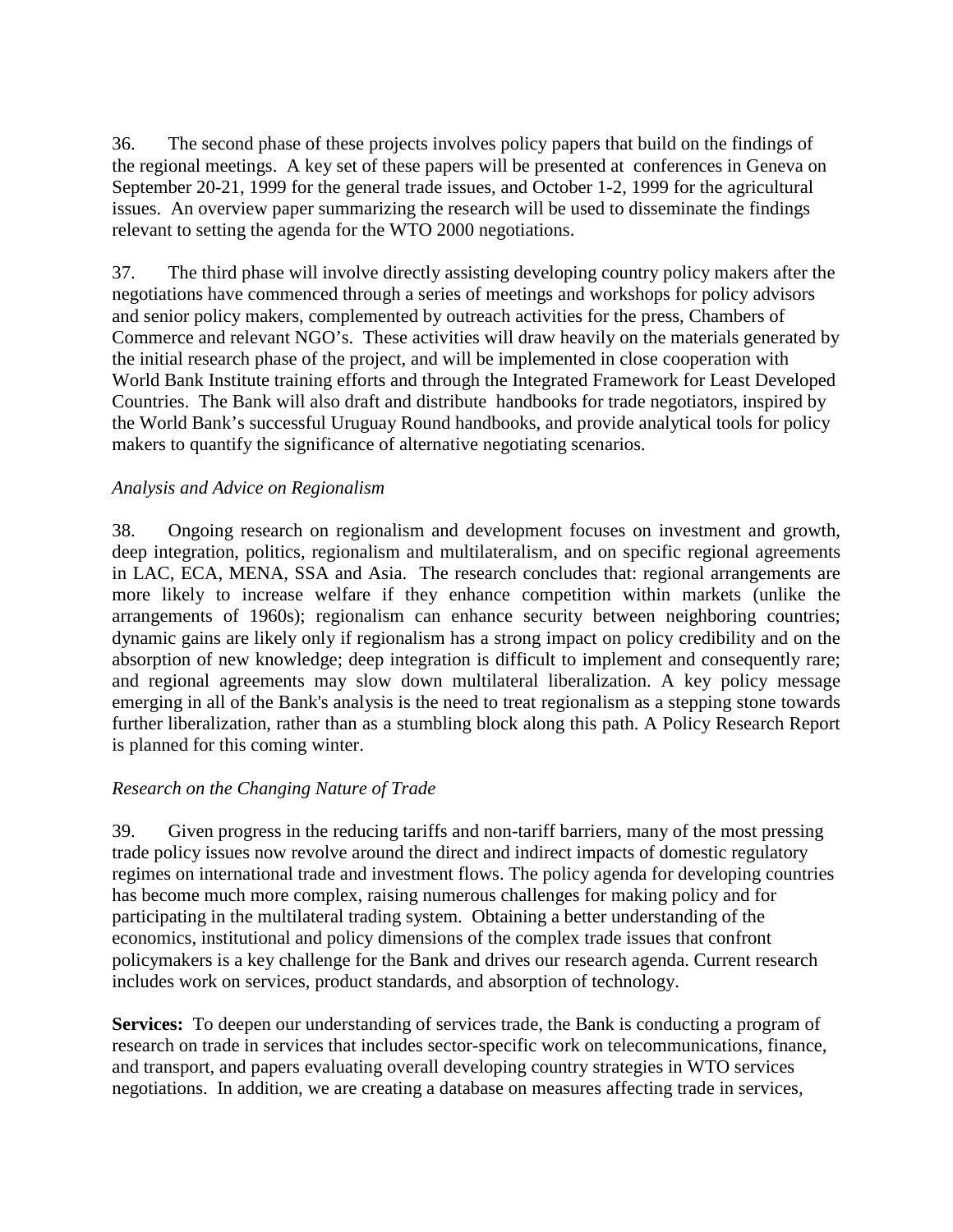36. The second phase of these projects involves policy papers that build on the findings of the regional meetings. A key set of these papers will be presented at conferences in Geneva on September 20-21, 1999 for the general trade issues, and October 1-2, 1999 for the agricultural issues. An overview paper summarizing the research will be used to disseminate the findings relevant to setting the agenda for the WTO 2000 negotiations.

37. The third phase will involve directly assisting developing country policy makers after the negotiations have commenced through a series of meetings and workshops for policy advisors and senior policy makers, complemented by outreach activities for the press, Chambers of Commerce and relevant NGO's. These activities will draw heavily on the materials generated by the initial research phase of the project, and will be implemented in close cooperation with World Bank Institute training efforts and through the Integrated Framework for Least Developed Countries. The Bank will also draft and distribute handbooks for trade negotiators, inspired by the World Bank's successful Uruguay Round handbooks, and provide analytical tools for policy makers to quantify the significance of alternative negotiating scenarios.

### *Analysis and Advice on Regionalism*

38. Ongoing research on regionalism and development focuses on investment and growth, deep integration, politics, regionalism and multilateralism, and on specific regional agreements in LAC, ECA, MENA, SSA and Asia. The research concludes that: regional arrangements are more likely to increase welfare if they enhance competition within markets (unlike the arrangements of 1960s); regionalism can enhance security between neighboring countries; dynamic gains are likely only if regionalism has a strong impact on policy credibility and on the absorption of new knowledge; deep integration is difficult to implement and consequently rare; and regional agreements may slow down multilateral liberalization. A key policy message emerging in all of the Bank's analysis is the need to treat regionalism as a stepping stone towards further liberalization, rather than as a stumbling block along this path. A Policy Research Report is planned for this coming winter.

### *Research on the Changing Nature of Trade*

39. Given progress in the reducing tariffs and non-tariff barriers, many of the most pressing trade policy issues now revolve around the direct and indirect impacts of domestic regulatory regimes on international trade and investment flows. The policy agenda for developing countries has become much more complex, raising numerous challenges for making policy and for participating in the multilateral trading system. Obtaining a better understanding of the economics, institutional and policy dimensions of the complex trade issues that confront policymakers is a key challenge for the Bank and drives our research agenda. Current research includes work on services, product standards, and absorption of technology.

**Services:** To deepen our understanding of services trade, the Bank is conducting a program of research on trade in services that includes sector-specific work on telecommunications, finance, and transport, and papers evaluating overall developing country strategies in WTO services negotiations. In addition, we are creating a database on measures affecting trade in services,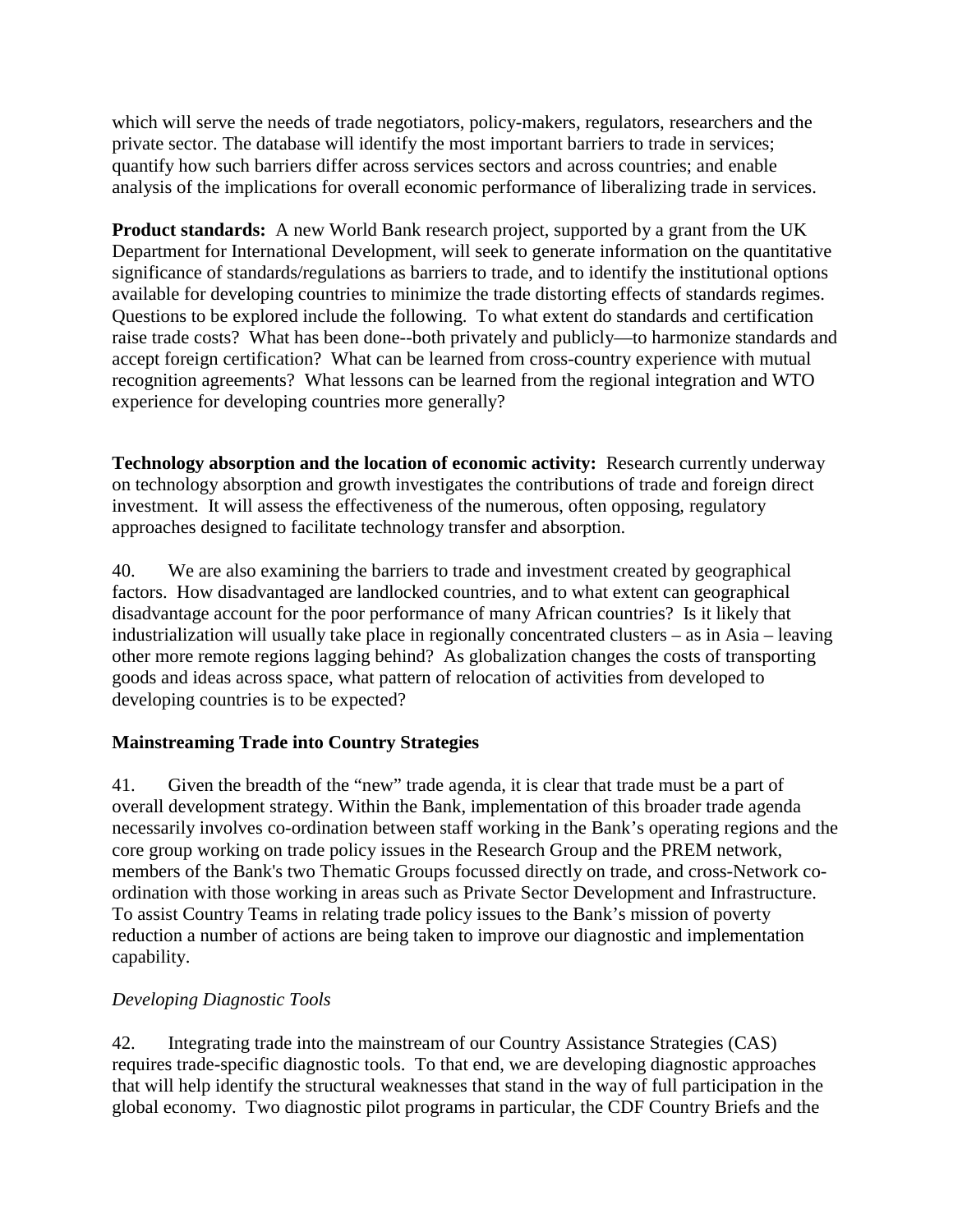which will serve the needs of trade negotiators, policy-makers, regulators, researchers and the private sector. The database will identify the most important barriers to trade in services; quantify how such barriers differ across services sectors and across countries; and enable analysis of the implications for overall economic performance of liberalizing trade in services.

**Product standards:** A new World Bank research project, supported by a grant from the UK Department for International Development, will seek to generate information on the quantitative significance of standards/regulations as barriers to trade, and to identify the institutional options available for developing countries to minimize the trade distorting effects of standards regimes. Questions to be explored include the following. To what extent do standards and certification raise trade costs? What has been done--both privately and publicly—to harmonize standards and accept foreign certification? What can be learned from cross-country experience with mutual recognition agreements? What lessons can be learned from the regional integration and WTO experience for developing countries more generally?

**Technology absorption and the location of economic activity:** Research currently underway on technology absorption and growth investigates the contributions of trade and foreign direct investment. It will assess the effectiveness of the numerous, often opposing, regulatory approaches designed to facilitate technology transfer and absorption.

40. We are also examining the barriers to trade and investment created by geographical factors. How disadvantaged are landlocked countries, and to what extent can geographical disadvantage account for the poor performance of many African countries? Is it likely that industrialization will usually take place in regionally concentrated clusters – as in Asia – leaving other more remote regions lagging behind? As globalization changes the costs of transporting goods and ideas across space, what pattern of relocation of activities from developed to developing countries is to be expected?

## **Mainstreaming Trade into Country Strategies**

41. Given the breadth of the "new" trade agenda, it is clear that trade must be a part of overall development strategy. Within the Bank, implementation of this broader trade agenda necessarily involves co-ordination between staff working in the Bank's operating regions and the core group working on trade policy issues in the Research Group and the PREM network, members of the Bank's two Thematic Groups focussed directly on trade, and cross-Network coordination with those working in areas such as Private Sector Development and Infrastructure. To assist Country Teams in relating trade policy issues to the Bank's mission of poverty reduction a number of actions are being taken to improve our diagnostic and implementation capability.

### *Developing Diagnostic Tools*

42. Integrating trade into the mainstream of our Country Assistance Strategies (CAS) requires trade-specific diagnostic tools. To that end, we are developing diagnostic approaches that will help identify the structural weaknesses that stand in the way of full participation in the global economy. Two diagnostic pilot programs in particular, the CDF Country Briefs and the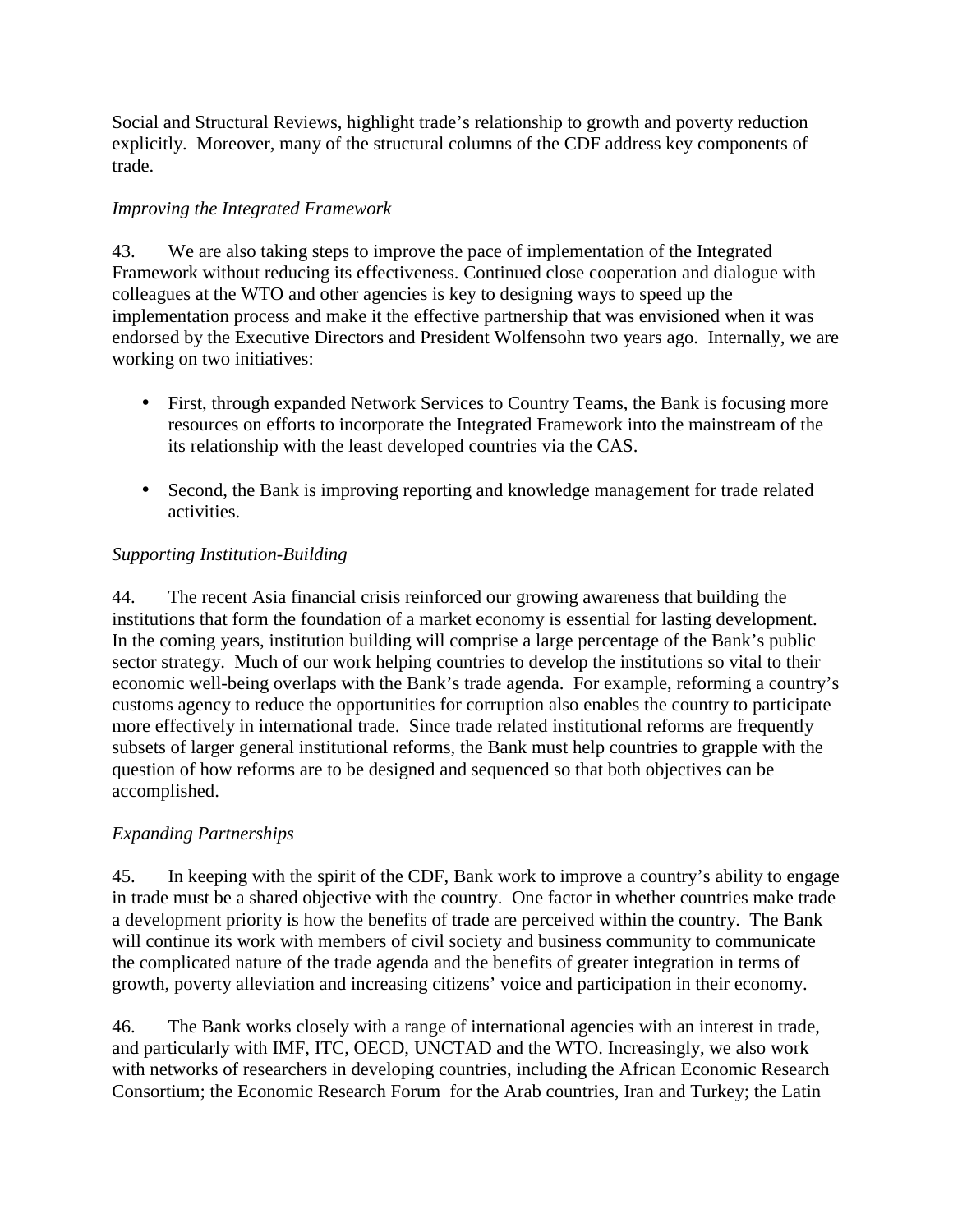Social and Structural Reviews, highlight trade's relationship to growth and poverty reduction explicitly. Moreover, many of the structural columns of the CDF address key components of trade.

## *Improving the Integrated Framework*

43. We are also taking steps to improve the pace of implementation of the Integrated Framework without reducing its effectiveness. Continued close cooperation and dialogue with colleagues at the WTO and other agencies is key to designing ways to speed up the implementation process and make it the effective partnership that was envisioned when it was endorsed by the Executive Directors and President Wolfensohn two years ago. Internally, we are working on two initiatives:

- First, through expanded Network Services to Country Teams, the Bank is focusing more resources on efforts to incorporate the Integrated Framework into the mainstream of the its relationship with the least developed countries via the CAS.
- Second, the Bank is improving reporting and knowledge management for trade related activities.

### *Supporting Institution-Building*

44. The recent Asia financial crisis reinforced our growing awareness that building the institutions that form the foundation of a market economy is essential for lasting development. In the coming years, institution building will comprise a large percentage of the Bank's public sector strategy. Much of our work helping countries to develop the institutions so vital to their economic well-being overlaps with the Bank's trade agenda. For example, reforming a country's customs agency to reduce the opportunities for corruption also enables the country to participate more effectively in international trade. Since trade related institutional reforms are frequently subsets of larger general institutional reforms, the Bank must help countries to grapple with the question of how reforms are to be designed and sequenced so that both objectives can be accomplished.

## *Expanding Partnerships*

45. In keeping with the spirit of the CDF, Bank work to improve a country's ability to engage in trade must be a shared objective with the country. One factor in whether countries make trade a development priority is how the benefits of trade are perceived within the country. The Bank will continue its work with members of civil society and business community to communicate the complicated nature of the trade agenda and the benefits of greater integration in terms of growth, poverty alleviation and increasing citizens' voice and participation in their economy.

46. The Bank works closely with a range of international agencies with an interest in trade, and particularly with IMF, ITC, OECD, UNCTAD and the WTO. Increasingly, we also work with networks of researchers in developing countries, including the African Economic Research Consortium; the Economic Research Forum for the Arab countries, Iran and Turkey; the Latin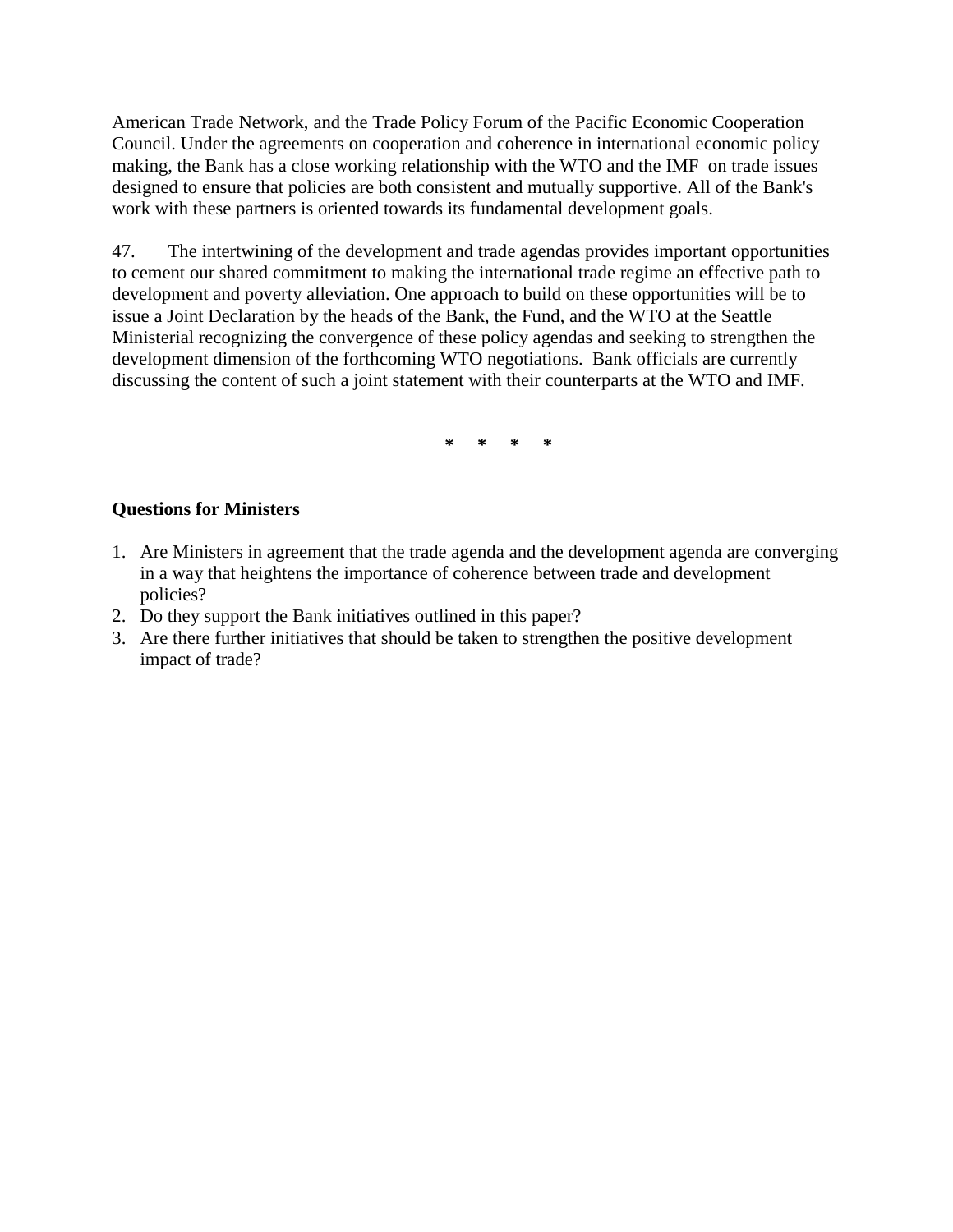American Trade Network, and the Trade Policy Forum of the Pacific Economic Cooperation Council. Under the agreements on cooperation and coherence in international economic policy making, the Bank has a close working relationship with the WTO and the IMF on trade issues designed to ensure that policies are both consistent and mutually supportive. All of the Bank's work with these partners is oriented towards its fundamental development goals.

47. The intertwining of the development and trade agendas provides important opportunities to cement our shared commitment to making the international trade regime an effective path to development and poverty alleviation. One approach to build on these opportunities will be to issue a Joint Declaration by the heads of the Bank, the Fund, and the WTO at the Seattle Ministerial recognizing the convergence of these policy agendas and seeking to strengthen the development dimension of the forthcoming WTO negotiations. Bank officials are currently discussing the content of such a joint statement with their counterparts at the WTO and IMF.

**\* \* \* \***

### **Questions for Ministers**

- 1. Are Ministers in agreement that the trade agenda and the development agenda are converging in a way that heightens the importance of coherence between trade and development policies?
- 2. Do they support the Bank initiatives outlined in this paper?
- 3. Are there further initiatives that should be taken to strengthen the positive development impact of trade?